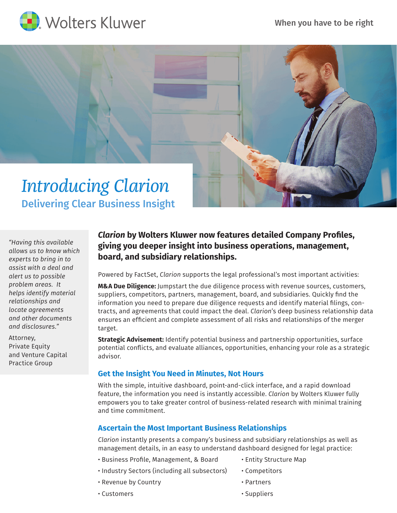



*"Having this available allows us to know which experts to bring in to assist with a deal and alert us to possible problem areas. It helps identify material relationships and locate agreements and other documents and disclosures."*

Attorney, Private Equity and Venture Capital Practice Group

# *Clarion* **by Wolters Kluwer now features detailed Company Profiles, giving you deeper insight into business operations, management, board, and subsidiary relationships.**

Powered by FactSet, *Clarion* supports the legal professional's most important activities:

**M&A Due Diligence:** Jumpstart the due diligence process with revenue sources, customers, suppliers, competitors, partners, management, board, and subsidiaries. Quickly find the information you need to prepare due diligence requests and identify material filings, contracts, and agreements that could impact the deal. *Clarion*'s deep business relationship data ensures an efficient and complete assessment of all risks and relationships of the merger target.

**Strategic Advisement:** Identify potential business and partnership opportunities, surface potential conflicts, and evaluate alliances, opportunities, enhancing your role as a strategic advisor.

### **Get the Insight You Need in Minutes, Not Hours**

With the simple, intuitive dashboard, point-and-click interface, and a rapid download feature, the information you need is instantly accessible. *Clarion* by Wolters Kluwer fully empowers you to take greater control of business-related research with minimal training and time commitment.

## **Ascertain the Most Important Business Relationships**

*Clarion* instantly presents a company's business and subsidiary relationships as well as management details, in an easy to understand dashboard designed for legal practice:

- Business Profile, Management, & Board
- Entity Structure Map
- Industry Sectors (including all subsectors)
- Revenue by Country
- Competitors
- Partners

• Customers

• Suppliers